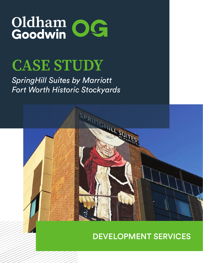# Oldham<br>Goodwin OG

## **CASE STUDY**

#### *SpringHill Suites by Marriott Fort Worth Historic Stockyards*



#### DEVELOPMENT SERVICES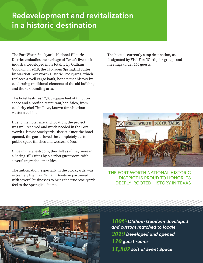#### Redevelopment and revitalization in a historic destination

The Fort Worth Stockyards National Historic District embodies the heritage of Texas's livestock industry. Developed in its totality by Oldham Goodwin in 2019, the 170-room SpringHill Suites by Marriott Fort Worth Historic Stockyards, which replaces a Well Fargo bank, honors that history by celebrating traditional elements of the old building and the surrounding area.

The hotel features 12,000 square feet of function space and a rooftop restaurant/bar, Ático, from celebrity chef Tim Love, known for his urban western cuisine.

Due to the hotel size and location, the project was well received and much needed in the Fort Worth Historic Stockyards District. Once the hotel opened, the guests loved the completely custom public space finishes and western décor.

Once in the guestroom, they felt as if they were in a SpringHill Suites by Marriott guestroom, with several upgraded amenities.

The anticipation, especially in the Stockyards, was extremely high, as Oldham Goodwin partnered with several businesses to bring the true Stockyards feel to the SpringHill Suites.

The hotel is currently a top destination, as designated by Visit Fort Worth, for groups and meetings under 150 guests.



THE FORT WORTH NATIONAL HISTORIC DISTRICT IS PROUD TO HONOR ITS DEEPLY ROOTED HISTORY IN TEXAS



*100% Oldham Goodwin developed and custom matched to locale 2019 Developed and opened 170 guest rooms 11,807 sqft of Event Space*